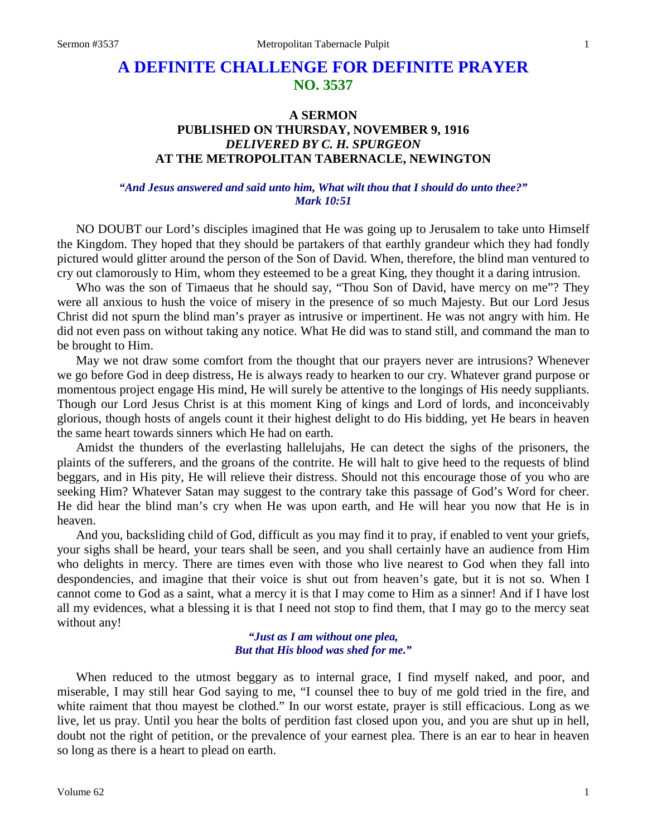# **A DEFINITE CHALLENGE FOR DEFINITE PRAYER NO. 3537**

## **A SERMON PUBLISHED ON THURSDAY, NOVEMBER 9, 1916** *DELIVERED BY C. H. SPURGEON* **AT THE METROPOLITAN TABERNACLE, NEWINGTON**

#### *"And Jesus answered and said unto him, What wilt thou that I should do unto thee?" Mark 10:51*

NO DOUBT our Lord's disciples imagined that He was going up to Jerusalem to take unto Himself the Kingdom. They hoped that they should be partakers of that earthly grandeur which they had fondly pictured would glitter around the person of the Son of David. When, therefore, the blind man ventured to cry out clamorously to Him, whom they esteemed to be a great King, they thought it a daring intrusion.

Who was the son of Timaeus that he should say, "Thou Son of David, have mercy on me"? They were all anxious to hush the voice of misery in the presence of so much Majesty. But our Lord Jesus Christ did not spurn the blind man's prayer as intrusive or impertinent. He was not angry with him. He did not even pass on without taking any notice. What He did was to stand still, and command the man to be brought to Him.

May we not draw some comfort from the thought that our prayers never are intrusions? Whenever we go before God in deep distress, He is always ready to hearken to our cry. Whatever grand purpose or momentous project engage His mind, He will surely be attentive to the longings of His needy suppliants. Though our Lord Jesus Christ is at this moment King of kings and Lord of lords, and inconceivably glorious, though hosts of angels count it their highest delight to do His bidding, yet He bears in heaven the same heart towards sinners which He had on earth.

Amidst the thunders of the everlasting hallelujahs, He can detect the sighs of the prisoners, the plaints of the sufferers, and the groans of the contrite. He will halt to give heed to the requests of blind beggars, and in His pity, He will relieve their distress. Should not this encourage those of you who are seeking Him? Whatever Satan may suggest to the contrary take this passage of God's Word for cheer. He did hear the blind man's cry when He was upon earth, and He will hear you now that He is in heaven.

And you, backsliding child of God, difficult as you may find it to pray, if enabled to vent your griefs, your sighs shall be heard, your tears shall be seen, and you shall certainly have an audience from Him who delights in mercy. There are times even with those who live nearest to God when they fall into despondencies, and imagine that their voice is shut out from heaven's gate, but it is not so. When I cannot come to God as a saint, what a mercy it is that I may come to Him as a sinner! And if I have lost all my evidences, what a blessing it is that I need not stop to find them, that I may go to the mercy seat without any!

> *"Just as I am without one plea, But that His blood was shed for me."*

When reduced to the utmost beggary as to internal grace, I find myself naked, and poor, and miserable, I may still hear God saying to me, "I counsel thee to buy of me gold tried in the fire, and white raiment that thou mayest be clothed." In our worst estate, prayer is still efficacious. Long as we live, let us pray. Until you hear the bolts of perdition fast closed upon you, and you are shut up in hell, doubt not the right of petition, or the prevalence of your earnest plea. There is an ear to hear in heaven so long as there is a heart to plead on earth.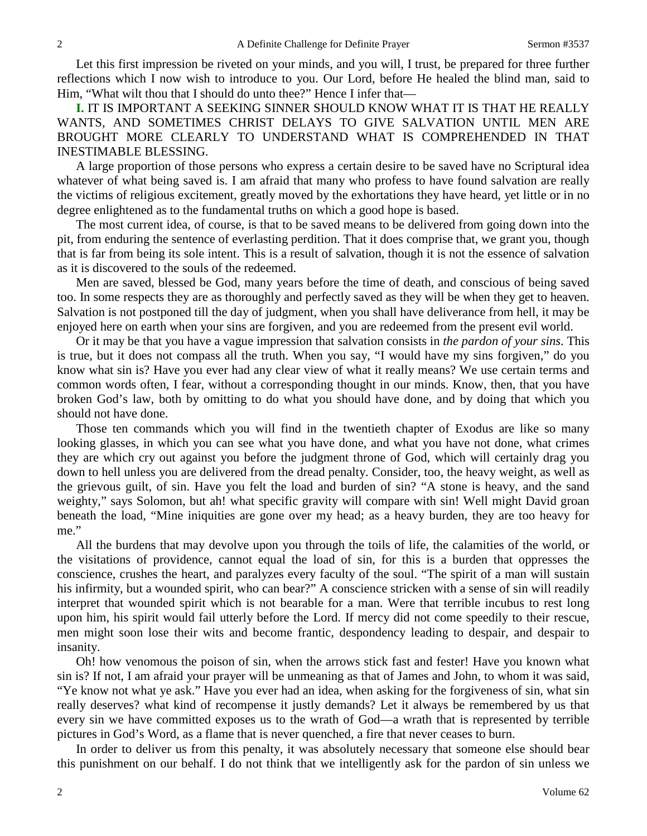Let this first impression be riveted on your minds, and you will, I trust, be prepared for three further reflections which I now wish to introduce to you. Our Lord, before He healed the blind man, said to Him, "What wilt thou that I should do unto thee?" Hence I infer that—

**I.** IT IS IMPORTANT A SEEKING SINNER SHOULD KNOW WHAT IT IS THAT HE REALLY WANTS, AND SOMETIMES CHRIST DELAYS TO GIVE SALVATION UNTIL MEN ARE BROUGHT MORE CLEARLY TO UNDERSTAND WHAT IS COMPREHENDED IN THAT INESTIMABLE BLESSING.

A large proportion of those persons who express a certain desire to be saved have no Scriptural idea whatever of what being saved is. I am afraid that many who profess to have found salvation are really the victims of religious excitement, greatly moved by the exhortations they have heard, yet little or in no degree enlightened as to the fundamental truths on which a good hope is based.

The most current idea, of course, is that to be saved means to be delivered from going down into the pit, from enduring the sentence of everlasting perdition. That it does comprise that, we grant you, though that is far from being its sole intent. This is a result of salvation, though it is not the essence of salvation as it is discovered to the souls of the redeemed.

Men are saved, blessed be God, many years before the time of death, and conscious of being saved too. In some respects they are as thoroughly and perfectly saved as they will be when they get to heaven. Salvation is not postponed till the day of judgment, when you shall have deliverance from hell, it may be enjoyed here on earth when your sins are forgiven, and you are redeemed from the present evil world.

Or it may be that you have a vague impression that salvation consists in *the pardon of your sins*. This is true, but it does not compass all the truth. When you say, "I would have my sins forgiven," do you know what sin is? Have you ever had any clear view of what it really means? We use certain terms and common words often, I fear, without a corresponding thought in our minds. Know, then, that you have broken God's law, both by omitting to do what you should have done, and by doing that which you should not have done.

Those ten commands which you will find in the twentieth chapter of Exodus are like so many looking glasses, in which you can see what you have done, and what you have not done, what crimes they are which cry out against you before the judgment throne of God, which will certainly drag you down to hell unless you are delivered from the dread penalty. Consider, too, the heavy weight, as well as the grievous guilt, of sin. Have you felt the load and burden of sin? "A stone is heavy, and the sand weighty," says Solomon, but ah! what specific gravity will compare with sin! Well might David groan beneath the load, "Mine iniquities are gone over my head; as a heavy burden, they are too heavy for me."

All the burdens that may devolve upon you through the toils of life, the calamities of the world, or the visitations of providence, cannot equal the load of sin, for this is a burden that oppresses the conscience, crushes the heart, and paralyzes every faculty of the soul. "The spirit of a man will sustain his infirmity, but a wounded spirit, who can bear?" A conscience stricken with a sense of sin will readily interpret that wounded spirit which is not bearable for a man. Were that terrible incubus to rest long upon him, his spirit would fail utterly before the Lord. If mercy did not come speedily to their rescue, men might soon lose their wits and become frantic, despondency leading to despair, and despair to insanity.

Oh! how venomous the poison of sin, when the arrows stick fast and fester! Have you known what sin is? If not, I am afraid your prayer will be unmeaning as that of James and John, to whom it was said, "Ye know not what ye ask." Have you ever had an idea, when asking for the forgiveness of sin, what sin really deserves? what kind of recompense it justly demands? Let it always be remembered by us that every sin we have committed exposes us to the wrath of God—a wrath that is represented by terrible pictures in God's Word, as a flame that is never quenched, a fire that never ceases to burn.

In order to deliver us from this penalty, it was absolutely necessary that someone else should bear this punishment on our behalf. I do not think that we intelligently ask for the pardon of sin unless we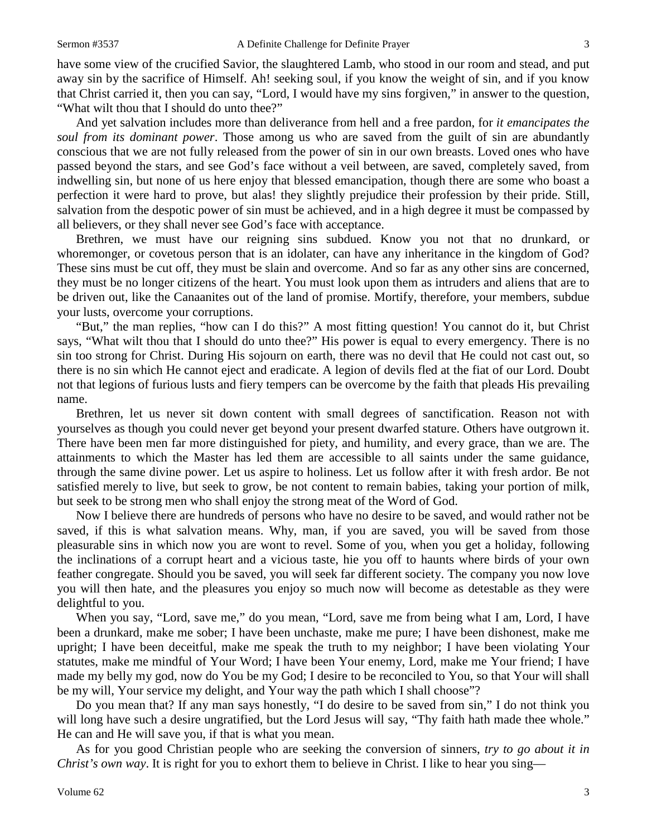have some view of the crucified Savior, the slaughtered Lamb, who stood in our room and stead, and put away sin by the sacrifice of Himself. Ah! seeking soul, if you know the weight of sin, and if you know that Christ carried it, then you can say, "Lord, I would have my sins forgiven," in answer to the question, "What wilt thou that I should do unto thee?"

And yet salvation includes more than deliverance from hell and a free pardon, for *it emancipates the soul from its dominant power*. Those among us who are saved from the guilt of sin are abundantly conscious that we are not fully released from the power of sin in our own breasts. Loved ones who have passed beyond the stars, and see God's face without a veil between, are saved, completely saved, from indwelling sin, but none of us here enjoy that blessed emancipation, though there are some who boast a perfection it were hard to prove, but alas! they slightly prejudice their profession by their pride. Still, salvation from the despotic power of sin must be achieved, and in a high degree it must be compassed by all believers, or they shall never see God's face with acceptance.

Brethren, we must have our reigning sins subdued. Know you not that no drunkard, or whoremonger, or covetous person that is an idolater, can have any inheritance in the kingdom of God? These sins must be cut off, they must be slain and overcome. And so far as any other sins are concerned, they must be no longer citizens of the heart. You must look upon them as intruders and aliens that are to be driven out, like the Canaanites out of the land of promise. Mortify, therefore, your members, subdue your lusts, overcome your corruptions.

"But," the man replies, "how can I do this?" A most fitting question! You cannot do it, but Christ says, "What wilt thou that I should do unto thee?" His power is equal to every emergency. There is no sin too strong for Christ. During His sojourn on earth, there was no devil that He could not cast out, so there is no sin which He cannot eject and eradicate. A legion of devils fled at the fiat of our Lord. Doubt not that legions of furious lusts and fiery tempers can be overcome by the faith that pleads His prevailing name.

Brethren, let us never sit down content with small degrees of sanctification. Reason not with yourselves as though you could never get beyond your present dwarfed stature. Others have outgrown it. There have been men far more distinguished for piety, and humility, and every grace, than we are. The attainments to which the Master has led them are accessible to all saints under the same guidance, through the same divine power. Let us aspire to holiness. Let us follow after it with fresh ardor. Be not satisfied merely to live, but seek to grow, be not content to remain babies, taking your portion of milk, but seek to be strong men who shall enjoy the strong meat of the Word of God.

Now I believe there are hundreds of persons who have no desire to be saved, and would rather not be saved, if this is what salvation means. Why, man, if you are saved, you will be saved from those pleasurable sins in which now you are wont to revel. Some of you, when you get a holiday, following the inclinations of a corrupt heart and a vicious taste, hie you off to haunts where birds of your own feather congregate. Should you be saved, you will seek far different society. The company you now love you will then hate, and the pleasures you enjoy so much now will become as detestable as they were delightful to you.

When you say, "Lord, save me," do you mean, "Lord, save me from being what I am, Lord, I have been a drunkard, make me sober; I have been unchaste, make me pure; I have been dishonest, make me upright; I have been deceitful, make me speak the truth to my neighbor; I have been violating Your statutes, make me mindful of Your Word; I have been Your enemy, Lord, make me Your friend; I have made my belly my god, now do You be my God; I desire to be reconciled to You, so that Your will shall be my will, Your service my delight, and Your way the path which I shall choose"?

Do you mean that? If any man says honestly, "I do desire to be saved from sin," I do not think you will long have such a desire ungratified, but the Lord Jesus will say, "Thy faith hath made thee whole." He can and He will save you, if that is what you mean.

As for you good Christian people who are seeking the conversion of sinners, *try to go about it in Christ's own way*. It is right for you to exhort them to believe in Christ. I like to hear you sing—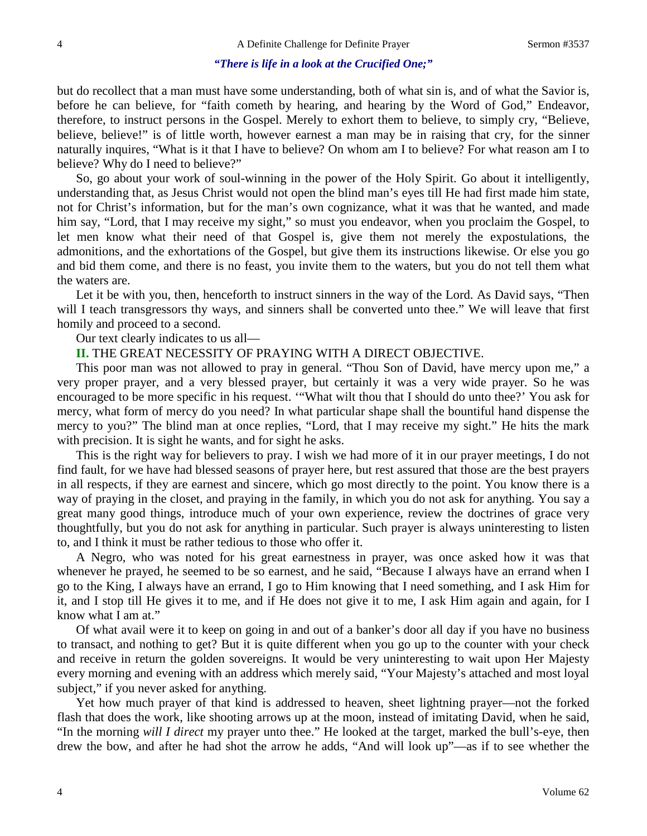#### *"There is life in a look at the Crucified One;"*

but do recollect that a man must have some understanding, both of what sin is, and of what the Savior is, before he can believe, for "faith cometh by hearing, and hearing by the Word of God," Endeavor, therefore, to instruct persons in the Gospel. Merely to exhort them to believe, to simply cry, "Believe, believe, believe!" is of little worth, however earnest a man may be in raising that cry, for the sinner naturally inquires, "What is it that I have to believe? On whom am I to believe? For what reason am I to believe? Why do I need to believe?"

So, go about your work of soul-winning in the power of the Holy Spirit. Go about it intelligently, understanding that, as Jesus Christ would not open the blind man's eyes till He had first made him state, not for Christ's information, but for the man's own cognizance, what it was that he wanted, and made him say, "Lord, that I may receive my sight," so must you endeavor, when you proclaim the Gospel, to let men know what their need of that Gospel is, give them not merely the expostulations, the admonitions, and the exhortations of the Gospel, but give them its instructions likewise. Or else you go and bid them come, and there is no feast, you invite them to the waters, but you do not tell them what the waters are.

Let it be with you, then, henceforth to instruct sinners in the way of the Lord. As David says, "Then will I teach transgressors thy ways, and sinners shall be converted unto thee." We will leave that first homily and proceed to a second.

Our text clearly indicates to us all—

**II.** THE GREAT NECESSITY OF PRAYING WITH A DIRECT OBJECTIVE.

This poor man was not allowed to pray in general. "Thou Son of David, have mercy upon me," a very proper prayer, and a very blessed prayer, but certainly it was a very wide prayer. So he was encouraged to be more specific in his request. '"What wilt thou that I should do unto thee?' You ask for mercy, what form of mercy do you need? In what particular shape shall the bountiful hand dispense the mercy to you?" The blind man at once replies, "Lord, that I may receive my sight." He hits the mark with precision. It is sight he wants, and for sight he asks.

This is the right way for believers to pray. I wish we had more of it in our prayer meetings, I do not find fault, for we have had blessed seasons of prayer here, but rest assured that those are the best prayers in all respects, if they are earnest and sincere, which go most directly to the point. You know there is a way of praying in the closet, and praying in the family, in which you do not ask for anything. You say a great many good things, introduce much of your own experience, review the doctrines of grace very thoughtfully, but you do not ask for anything in particular. Such prayer is always uninteresting to listen to, and I think it must be rather tedious to those who offer it.

A Negro, who was noted for his great earnestness in prayer, was once asked how it was that whenever he prayed, he seemed to be so earnest, and he said, "Because I always have an errand when I go to the King, I always have an errand, I go to Him knowing that I need something, and I ask Him for it, and I stop till He gives it to me, and if He does not give it to me, I ask Him again and again, for I know what I am at."

Of what avail were it to keep on going in and out of a banker's door all day if you have no business to transact, and nothing to get? But it is quite different when you go up to the counter with your check and receive in return the golden sovereigns. It would be very uninteresting to wait upon Her Majesty every morning and evening with an address which merely said, "Your Majesty's attached and most loyal subject," if you never asked for anything.

Yet how much prayer of that kind is addressed to heaven, sheet lightning prayer—not the forked flash that does the work, like shooting arrows up at the moon, instead of imitating David, when he said, "In the morning *will I direct* my prayer unto thee." He looked at the target, marked the bull's-eye, then drew the bow, and after he had shot the arrow he adds, "And will look up"—as if to see whether the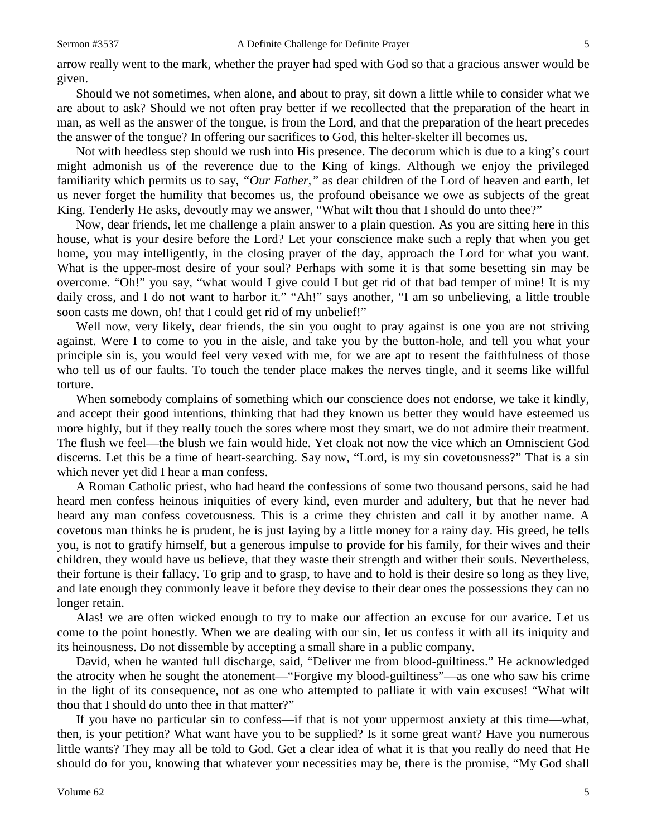arrow really went to the mark, whether the prayer had sped with God so that a gracious answer would be given.

Should we not sometimes, when alone, and about to pray, sit down a little while to consider what we are about to ask? Should we not often pray better if we recollected that the preparation of the heart in man, as well as the answer of the tongue, is from the Lord, and that the preparation of the heart precedes the answer of the tongue? In offering our sacrifices to God, this helter-skelter ill becomes us.

Not with heedless step should we rush into His presence. The decorum which is due to a king's court might admonish us of the reverence due to the King of kings. Although we enjoy the privileged familiarity which permits us to say, *"Our Father,"* as dear children of the Lord of heaven and earth, let us never forget the humility that becomes us, the profound obeisance we owe as subjects of the great King. Tenderly He asks, devoutly may we answer, "What wilt thou that I should do unto thee?"

Now, dear friends, let me challenge a plain answer to a plain question. As you are sitting here in this house, what is your desire before the Lord? Let your conscience make such a reply that when you get home, you may intelligently, in the closing prayer of the day, approach the Lord for what you want. What is the upper-most desire of your soul? Perhaps with some it is that some besetting sin may be overcome. "Oh!" you say, "what would I give could I but get rid of that bad temper of mine! It is my daily cross, and I do not want to harbor it." "Ah!" says another, "I am so unbelieving, a little trouble soon casts me down, oh! that I could get rid of my unbelief!"

Well now, very likely, dear friends, the sin you ought to pray against is one you are not striving against. Were I to come to you in the aisle, and take you by the button-hole, and tell you what your principle sin is, you would feel very vexed with me, for we are apt to resent the faithfulness of those who tell us of our faults. To touch the tender place makes the nerves tingle, and it seems like willful torture.

When somebody complains of something which our conscience does not endorse, we take it kindly, and accept their good intentions, thinking that had they known us better they would have esteemed us more highly, but if they really touch the sores where most they smart, we do not admire their treatment. The flush we feel—the blush we fain would hide. Yet cloak not now the vice which an Omniscient God discerns. Let this be a time of heart-searching. Say now, "Lord, is my sin covetousness?" That is a sin which never yet did I hear a man confess.

A Roman Catholic priest, who had heard the confessions of some two thousand persons, said he had heard men confess heinous iniquities of every kind, even murder and adultery, but that he never had heard any man confess covetousness. This is a crime they christen and call it by another name. A covetous man thinks he is prudent, he is just laying by a little money for a rainy day. His greed, he tells you, is not to gratify himself, but a generous impulse to provide for his family, for their wives and their children, they would have us believe, that they waste their strength and wither their souls. Nevertheless, their fortune is their fallacy. To grip and to grasp, to have and to hold is their desire so long as they live, and late enough they commonly leave it before they devise to their dear ones the possessions they can no longer retain.

Alas! we are often wicked enough to try to make our affection an excuse for our avarice. Let us come to the point honestly. When we are dealing with our sin, let us confess it with all its iniquity and its heinousness. Do not dissemble by accepting a small share in a public company.

David, when he wanted full discharge, said, "Deliver me from blood-guiltiness." He acknowledged the atrocity when he sought the atonement—"Forgive my blood-guiltiness"—as one who saw his crime in the light of its consequence, not as one who attempted to palliate it with vain excuses! "What wilt thou that I should do unto thee in that matter?"

If you have no particular sin to confess—if that is not your uppermost anxiety at this time—what, then, is your petition? What want have you to be supplied? Is it some great want? Have you numerous little wants? They may all be told to God. Get a clear idea of what it is that you really do need that He should do for you, knowing that whatever your necessities may be, there is the promise, "My God shall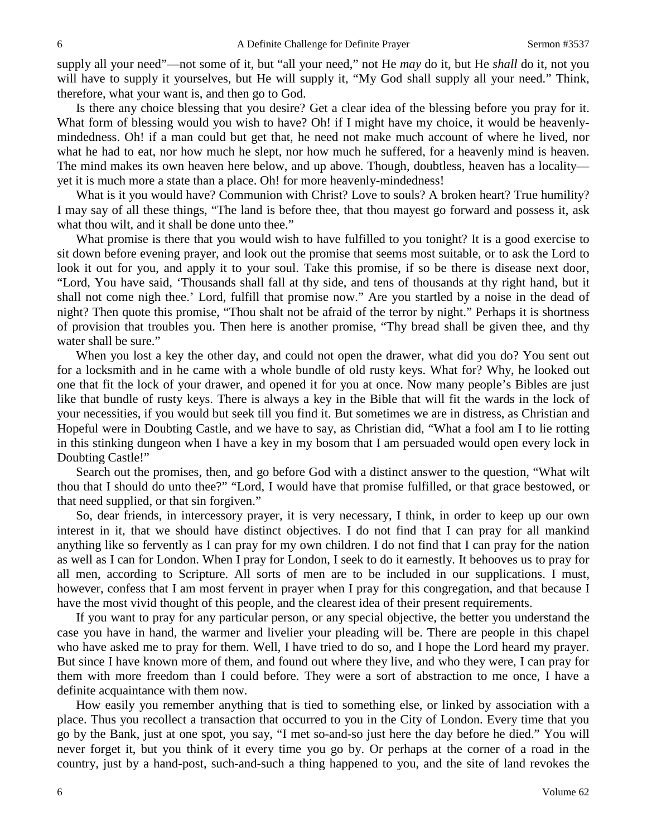supply all your need"—not some of it, but "all your need," not He *may* do it, but He *shall* do it, not you will have to supply it yourselves, but He will supply it, "My God shall supply all your need." Think, therefore, what your want is, and then go to God.

Is there any choice blessing that you desire? Get a clear idea of the blessing before you pray for it. What form of blessing would you wish to have? Oh! if I might have my choice, it would be heavenlymindedness. Oh! if a man could but get that, he need not make much account of where he lived, nor what he had to eat, nor how much he slept, nor how much he suffered, for a heavenly mind is heaven. The mind makes its own heaven here below, and up above. Though, doubtless, heaven has a locality yet it is much more a state than a place. Oh! for more heavenly-mindedness!

What is it you would have? Communion with Christ? Love to souls? A broken heart? True humility? I may say of all these things, "The land is before thee, that thou mayest go forward and possess it, ask what thou wilt, and it shall be done unto thee."

What promise is there that you would wish to have fulfilled to you tonight? It is a good exercise to sit down before evening prayer, and look out the promise that seems most suitable, or to ask the Lord to look it out for you, and apply it to your soul. Take this promise, if so be there is disease next door, "Lord, You have said, 'Thousands shall fall at thy side, and tens of thousands at thy right hand, but it shall not come nigh thee.' Lord, fulfill that promise now." Are you startled by a noise in the dead of night? Then quote this promise, "Thou shalt not be afraid of the terror by night." Perhaps it is shortness of provision that troubles you. Then here is another promise, "Thy bread shall be given thee, and thy water shall be sure."

When you lost a key the other day, and could not open the drawer, what did you do? You sent out for a locksmith and in he came with a whole bundle of old rusty keys. What for? Why, he looked out one that fit the lock of your drawer, and opened it for you at once. Now many people's Bibles are just like that bundle of rusty keys. There is always a key in the Bible that will fit the wards in the lock of your necessities, if you would but seek till you find it. But sometimes we are in distress, as Christian and Hopeful were in Doubting Castle, and we have to say, as Christian did, "What a fool am I to lie rotting in this stinking dungeon when I have a key in my bosom that I am persuaded would open every lock in Doubting Castle!"

Search out the promises, then, and go before God with a distinct answer to the question, "What wilt thou that I should do unto thee?" "Lord, I would have that promise fulfilled, or that grace bestowed, or that need supplied, or that sin forgiven."

So, dear friends, in intercessory prayer, it is very necessary, I think, in order to keep up our own interest in it, that we should have distinct objectives. I do not find that I can pray for all mankind anything like so fervently as I can pray for my own children. I do not find that I can pray for the nation as well as I can for London. When I pray for London, I seek to do it earnestly. It behooves us to pray for all men, according to Scripture. All sorts of men are to be included in our supplications. I must, however, confess that I am most fervent in prayer when I pray for this congregation, and that because I have the most vivid thought of this people, and the clearest idea of their present requirements.

If you want to pray for any particular person, or any special objective, the better you understand the case you have in hand, the warmer and livelier your pleading will be. There are people in this chapel who have asked me to pray for them. Well, I have tried to do so, and I hope the Lord heard my prayer. But since I have known more of them, and found out where they live, and who they were, I can pray for them with more freedom than I could before. They were a sort of abstraction to me once, I have a definite acquaintance with them now.

How easily you remember anything that is tied to something else, or linked by association with a place. Thus you recollect a transaction that occurred to you in the City of London. Every time that you go by the Bank, just at one spot, you say, "I met so-and-so just here the day before he died." You will never forget it, but you think of it every time you go by. Or perhaps at the corner of a road in the country, just by a hand-post, such-and-such a thing happened to you, and the site of land revokes the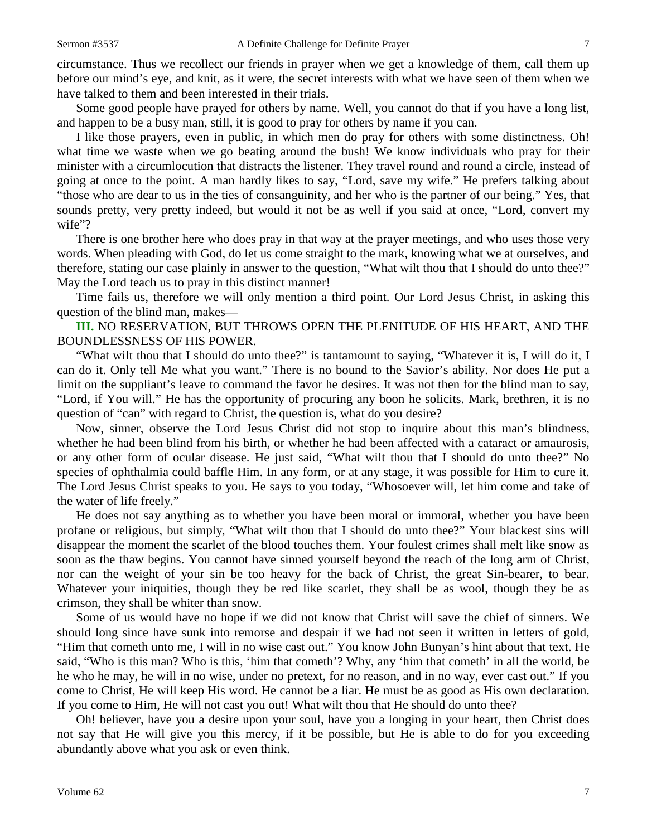circumstance. Thus we recollect our friends in prayer when we get a knowledge of them, call them up before our mind's eye, and knit, as it were, the secret interests with what we have seen of them when we have talked to them and been interested in their trials.

Some good people have prayed for others by name. Well, you cannot do that if you have a long list, and happen to be a busy man, still, it is good to pray for others by name if you can.

I like those prayers, even in public, in which men do pray for others with some distinctness. Oh! what time we waste when we go beating around the bush! We know individuals who pray for their minister with a circumlocution that distracts the listener. They travel round and round a circle, instead of going at once to the point. A man hardly likes to say, "Lord, save my wife." He prefers talking about "those who are dear to us in the ties of consanguinity, and her who is the partner of our being." Yes, that sounds pretty, very pretty indeed, but would it not be as well if you said at once, "Lord, convert my wife"?

There is one brother here who does pray in that way at the prayer meetings, and who uses those very words. When pleading with God, do let us come straight to the mark, knowing what we at ourselves, and therefore, stating our case plainly in answer to the question, "What wilt thou that I should do unto thee?" May the Lord teach us to pray in this distinct manner!

Time fails us, therefore we will only mention a third point. Our Lord Jesus Christ, in asking this question of the blind man, makes—

**III.** NO RESERVATION, BUT THROWS OPEN THE PLENITUDE OF HIS HEART, AND THE BOUNDLESSNESS OF HIS POWER.

"What wilt thou that I should do unto thee?" is tantamount to saying, "Whatever it is, I will do it, I can do it. Only tell Me what you want." There is no bound to the Savior's ability. Nor does He put a limit on the suppliant's leave to command the favor he desires. It was not then for the blind man to say, "Lord, if You will." He has the opportunity of procuring any boon he solicits. Mark, brethren, it is no question of "can" with regard to Christ, the question is, what do you desire?

Now, sinner, observe the Lord Jesus Christ did not stop to inquire about this man's blindness, whether he had been blind from his birth, or whether he had been affected with a cataract or amaurosis, or any other form of ocular disease. He just said, "What wilt thou that I should do unto thee?" No species of ophthalmia could baffle Him. In any form, or at any stage, it was possible for Him to cure it. The Lord Jesus Christ speaks to you. He says to you today, "Whosoever will, let him come and take of the water of life freely."

He does not say anything as to whether you have been moral or immoral, whether you have been profane or religious, but simply, "What wilt thou that I should do unto thee?" Your blackest sins will disappear the moment the scarlet of the blood touches them. Your foulest crimes shall melt like snow as soon as the thaw begins. You cannot have sinned yourself beyond the reach of the long arm of Christ, nor can the weight of your sin be too heavy for the back of Christ, the great Sin-bearer, to bear. Whatever your iniquities, though they be red like scarlet, they shall be as wool, though they be as crimson, they shall be whiter than snow.

Some of us would have no hope if we did not know that Christ will save the chief of sinners. We should long since have sunk into remorse and despair if we had not seen it written in letters of gold, "Him that cometh unto me, I will in no wise cast out." You know John Bunyan's hint about that text. He said, "Who is this man? Who is this, 'him that cometh'? Why, any 'him that cometh' in all the world, be he who he may, he will in no wise, under no pretext, for no reason, and in no way, ever cast out." If you come to Christ, He will keep His word. He cannot be a liar. He must be as good as His own declaration. If you come to Him, He will not cast you out! What wilt thou that He should do unto thee?

Oh! believer, have you a desire upon your soul, have you a longing in your heart, then Christ does not say that He will give you this mercy, if it be possible, but He is able to do for you exceeding abundantly above what you ask or even think.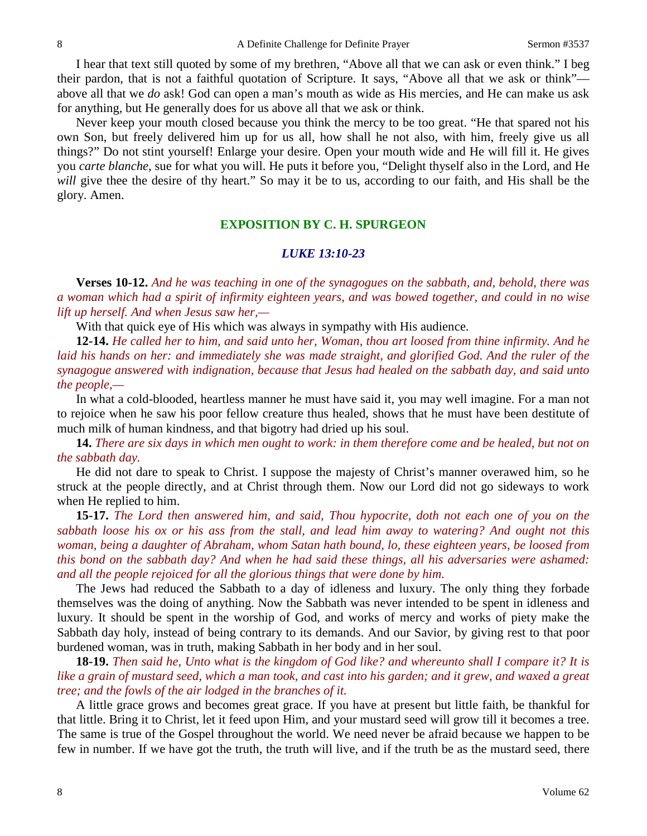I hear that text still quoted by some of my brethren, "Above all that we can ask or even think." I beg their pardon, that is not a faithful quotation of Scripture. It says, "Above all that we ask or think" above all that we *do* ask! God can open a man's mouth as wide as His mercies, and He can make us ask for anything, but He generally does for us above all that we ask or think.

Never keep your mouth closed because you think the mercy to be too great. "He that spared not his own Son, but freely delivered him up for us all, how shall he not also, with him, freely give us all things?" Do not stint yourself! Enlarge your desire. Open your mouth wide and He will fill it. He gives you *carte blanche,* sue for what you will. He puts it before you, "Delight thyself also in the Lord, and He *will* give thee the desire of thy heart." So may it be to us, according to our faith, and His shall be the glory. Amen.

#### **EXPOSITION BY C. H. SPURGEON**

#### *LUKE 13:10-23*

**Verses 10-12.** *And he was teaching in one of the synagogues on the sabbath, and, behold, there was a woman which had a spirit of infirmity eighteen years, and was bowed together, and could in no wise lift up herself. And when Jesus saw her,—*

With that quick eye of His which was always in sympathy with His audience.

**12-14.** *He called her to him, and said unto her, Woman, thou art loosed from thine infirmity. And he laid his hands on her: and immediately she was made straight, and glorified God. And the ruler of the synagogue answered with indignation, because that Jesus had healed on the sabbath day, and said unto the people,—*

In what a cold-blooded, heartless manner he must have said it, you may well imagine. For a man not to rejoice when he saw his poor fellow creature thus healed, shows that he must have been destitute of much milk of human kindness, and that bigotry had dried up his soul.

**14.** *There are six days in which men ought to work: in them therefore come and be healed, but not on the sabbath day.*

He did not dare to speak to Christ. I suppose the majesty of Christ's manner overawed him, so he struck at the people directly, and at Christ through them. Now our Lord did not go sideways to work when He replied to him.

**15-17.** *The Lord then answered him, and said, Thou hypocrite, doth not each one of you on the sabbath loose his ox or his ass from the stall, and lead him away to watering? And ought not this woman, being a daughter of Abraham, whom Satan hath bound, lo, these eighteen years, be loosed from this bond on the sabbath day? And when he had said these things, all his adversaries were ashamed: and all the people rejoiced for all the glorious things that were done by him.* 

The Jews had reduced the Sabbath to a day of idleness and luxury. The only thing they forbade themselves was the doing of anything. Now the Sabbath was never intended to be spent in idleness and luxury. It should be spent in the worship of God, and works of mercy and works of piety make the Sabbath day holy, instead of being contrary to its demands. And our Savior, by giving rest to that poor burdened woman, was in truth, making Sabbath in her body and in her soul.

**18-19.** *Then said he, Unto what is the kingdom of God like? and whereunto shall I compare it? It is like a grain of mustard seed, which a man took, and cast into his garden; and it grew, and waxed a great tree; and the fowls of the air lodged in the branches of it.* 

A little grace grows and becomes great grace. If you have at present but little faith, be thankful for that little. Bring it to Christ, let it feed upon Him, and your mustard seed will grow till it becomes a tree. The same is true of the Gospel throughout the world. We need never be afraid because we happen to be few in number. If we have got the truth, the truth will live, and if the truth be as the mustard seed, there